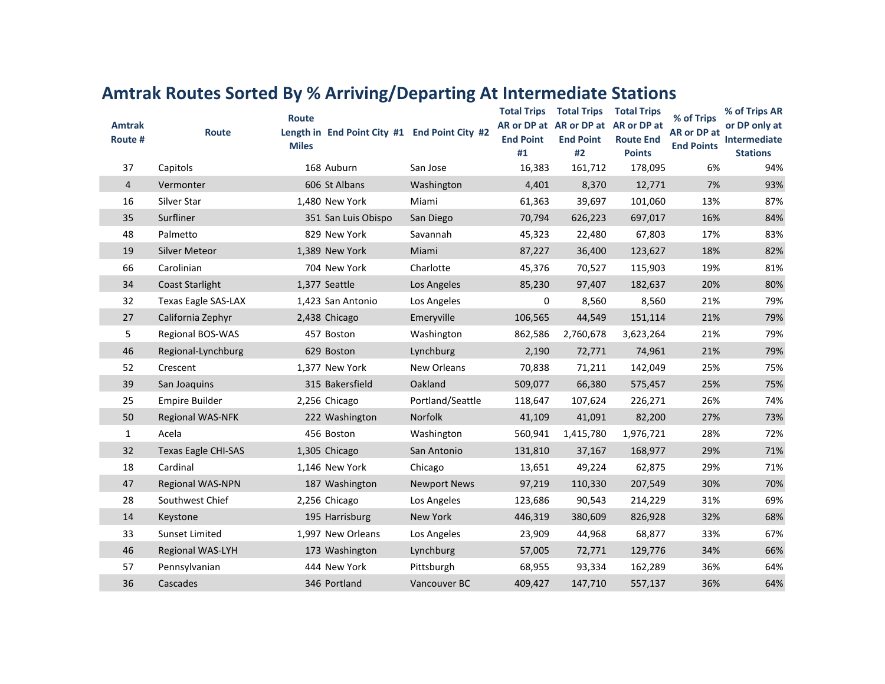| <b>Amtrak</b><br>Route # | <b>Route</b>               | Route<br>Length in End Point City #1 End Point City #2<br><b>Miles</b> |                     | <b>End Point</b><br>#1 | <b>Total Trips  Total Trips</b><br>AR or DP at AR or DP at AR or DP at<br><b>End Point</b><br>#2 | <b>Total Trips</b><br><b>Route End</b><br><b>Points</b> | % of Trips<br>AR or DP at<br><b>End Points</b> | % of Trips AR<br>or DP only at<br>Intermediate<br><b>Stations</b> |
|--------------------------|----------------------------|------------------------------------------------------------------------|---------------------|------------------------|--------------------------------------------------------------------------------------------------|---------------------------------------------------------|------------------------------------------------|-------------------------------------------------------------------|
| 37                       | Capitols                   | 168 Auburn                                                             | San Jose            | 16,383                 | 161,712                                                                                          | 178,095                                                 | 6%                                             | 94%                                                               |
| $\overline{4}$           | Vermonter                  | 606 St Albans                                                          | Washington          | 4,401                  | 8,370                                                                                            | 12,771                                                  | 7%                                             | 93%                                                               |
| 16                       | Silver Star                | 1,480 New York                                                         | Miami               | 61,363                 | 39,697                                                                                           | 101,060                                                 | 13%                                            | 87%                                                               |
| 35                       | Surfliner                  | 351 San Luis Obispo                                                    | San Diego           | 70,794                 | 626,223                                                                                          | 697,017                                                 | 16%                                            | 84%                                                               |
| 48                       | Palmetto                   | 829 New York                                                           | Savannah            | 45,323                 | 22,480                                                                                           | 67,803                                                  | 17%                                            | 83%                                                               |
| 19                       | <b>Silver Meteor</b>       | 1,389 New York                                                         | Miami               | 87,227                 | 36,400                                                                                           | 123,627                                                 | 18%                                            | 82%                                                               |
| 66                       | Carolinian                 | 704 New York                                                           | Charlotte           | 45,376                 | 70,527                                                                                           | 115,903                                                 | 19%                                            | 81%                                                               |
| 34                       | <b>Coast Starlight</b>     | 1,377 Seattle                                                          | Los Angeles         | 85,230                 | 97,407                                                                                           | 182,637                                                 | 20%                                            | 80%                                                               |
| 32                       | Texas Eagle SAS-LAX        | 1,423 San Antonio                                                      | Los Angeles         | 0                      | 8,560                                                                                            | 8,560                                                   | 21%                                            | 79%                                                               |
| 27                       | California Zephyr          | 2,438 Chicago                                                          | Emeryville          | 106,565                | 44,549                                                                                           | 151,114                                                 | 21%                                            | 79%                                                               |
| 5                        | Regional BOS-WAS           | 457 Boston                                                             | Washington          | 862,586                | 2,760,678                                                                                        | 3,623,264                                               | 21%                                            | 79%                                                               |
| 46                       | Regional-Lynchburg         | 629 Boston                                                             | Lynchburg           | 2,190                  | 72,771                                                                                           | 74,961                                                  | 21%                                            | 79%                                                               |
| 52                       | Crescent                   | 1,377 New York                                                         | New Orleans         | 70,838                 | 71,211                                                                                           | 142,049                                                 | 25%                                            | 75%                                                               |
| 39                       | San Joaquins               | 315 Bakersfield                                                        | Oakland             | 509,077                | 66,380                                                                                           | 575,457                                                 | 25%                                            | 75%                                                               |
| 25                       | <b>Empire Builder</b>      | 2,256 Chicago                                                          | Portland/Seattle    | 118,647                | 107,624                                                                                          | 226,271                                                 | 26%                                            | 74%                                                               |
| 50                       | <b>Regional WAS-NFK</b>    | 222 Washington                                                         | Norfolk             | 41,109                 | 41,091                                                                                           | 82,200                                                  | 27%                                            | 73%                                                               |
| $\mathbf{1}$             | Acela                      | 456 Boston                                                             | Washington          | 560,941                | 1,415,780                                                                                        | 1,976,721                                               | 28%                                            | 72%                                                               |
| 32                       | <b>Texas Eagle CHI-SAS</b> | 1,305 Chicago                                                          | San Antonio         | 131,810                | 37,167                                                                                           | 168,977                                                 | 29%                                            | 71%                                                               |
| 18                       | Cardinal                   | 1,146 New York                                                         | Chicago             | 13,651                 | 49,224                                                                                           | 62,875                                                  | 29%                                            | 71%                                                               |
| 47                       | Regional WAS-NPN           | 187 Washington                                                         | <b>Newport News</b> | 97,219                 | 110,330                                                                                          | 207,549                                                 | 30%                                            | 70%                                                               |
| 28                       | Southwest Chief            | 2,256 Chicago                                                          | Los Angeles         | 123,686                | 90,543                                                                                           | 214,229                                                 | 31%                                            | 69%                                                               |
| 14                       | Keystone                   | 195 Harrisburg                                                         | New York            | 446,319                | 380,609                                                                                          | 826,928                                                 | 32%                                            | 68%                                                               |
| 33                       | <b>Sunset Limited</b>      | 1,997 New Orleans                                                      | Los Angeles         | 23,909                 | 44,968                                                                                           | 68,877                                                  | 33%                                            | 67%                                                               |
| 46                       | Regional WAS-LYH           | 173 Washington                                                         | Lynchburg           | 57,005                 | 72,771                                                                                           | 129,776                                                 | 34%                                            | 66%                                                               |
| 57                       | Pennsylvanian              | 444 New York                                                           | Pittsburgh          | 68,955                 | 93,334                                                                                           | 162,289                                                 | 36%                                            | 64%                                                               |
| 36                       | Cascades                   | 346 Portland                                                           | Vancouver BC        | 409,427                | 147,710                                                                                          | 557,137                                                 | 36%                                            | 64%                                                               |

## **Amtrak Routes Sorted By % Arriving/Departing At Intermediate Stations**